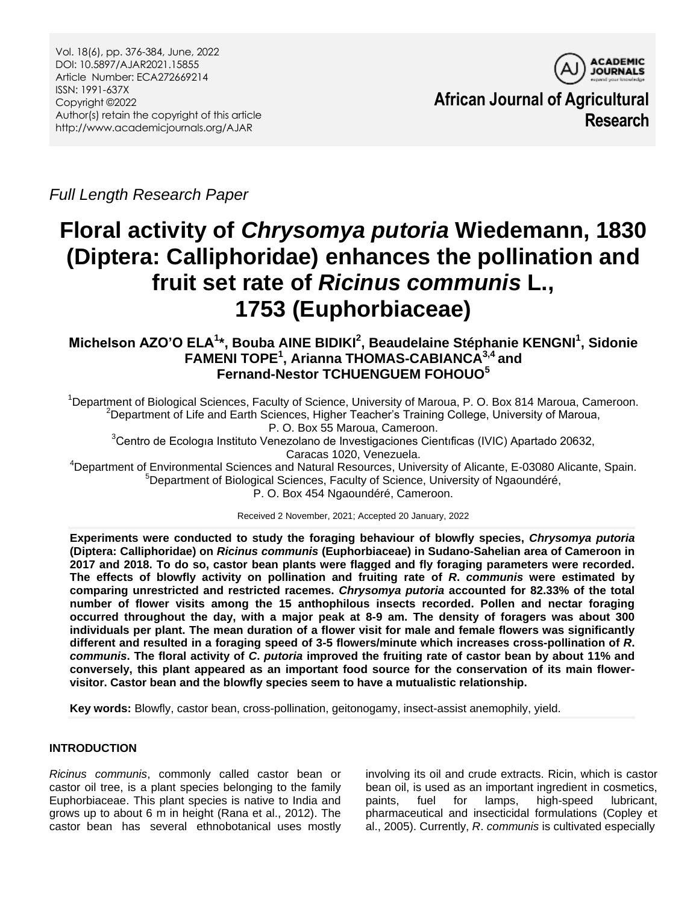

**African Journal of Agricultural Research**

*Full Length Research Paper*

# **Floral activity of** *Chrysomya putoria* **Wiedemann, 1830 (Diptera: Calliphoridae) enhances the pollination and fruit set rate of** *Ricinus communis* **L., 1753 (Euphorbiaceae)**

# **Michelson AZO'O ELA<sup>1</sup> \*, Bouba AINE BIDIKI<sup>2</sup> , Beaudelaine Stéphanie KENGNI<sup>1</sup> , Sidonie FAMENI TOPE<sup>1</sup> , Arianna THOMAS-CABIANCA3,4 and Fernand-Nestor TCHUENGUEM FOHOUO<sup>5</sup>**

<sup>1</sup>Department of Biological Sciences, Faculty of Science, University of Maroua, P. O. Box 814 Maroua, Cameroon. <sup>2</sup>Department of Life and Earth Sciences, Higher Teacher's Training College, University of Maroua, P. O. Box 55 Maroua, Cameroon.

<sup>3</sup>Centro de Ecologia Instituto Venezolano de Investigaciones Cientificas (IVIC) Apartado 20632, Caracas 1020, Venezuela.

<sup>4</sup>Department of Environmental Sciences and Natural Resources, University of Alicante, E-03080 Alicante, Spain. <sup>5</sup>Department of Biological Sciences, Faculty of Science, University of Ngaoundéré,

P. O. Box 454 Ngaoundéré, Cameroon.

Received 2 November, 2021; Accepted 20 January, 2022

**Experiments were conducted to study the foraging behaviour of blowfly species,** *Chrysomya putoria* **(Diptera: Calliphoridae) on** *Ricinus communis* **(Euphorbiaceae) in Sudano-Sahelian area of Cameroon in 2017 and 2018. To do so, castor bean plants were flagged and fly foraging parameters were recorded. The effects of blowfly activity on pollination and fruiting rate of** *R***.** *communis* **were estimated by comparing unrestricted and restricted racemes.** *Chrysomya putoria* **accounted for 82.33% of the total number of flower visits among the 15 anthophilous insects recorded. Pollen and nectar foraging occurred throughout the day, with a major peak at 8-9 am. The density of foragers was about 300 individuals per plant. The mean duration of a flower visit for male and female flowers was significantly different and resulted in a foraging speed of 3-5 flowers/minute which increases cross-pollination of** *R***.**  *communis***. The floral activity of** *C***.** *putoria* **improved the fruiting rate of castor bean by about 11% and conversely, this plant appeared as an important food source for the conservation of its main flowervisitor. Castor bean and the blowfly species seem to have a mutualistic relationship.**

**Key words:** Blowfly, castor bean, cross-pollination, geitonogamy, insect-assist anemophily, yield.

# **INTRODUCTION**

*Ricinus communis*, commonly called castor bean or castor oil tree, is a plant species belonging to the family Euphorbiaceae. This plant species is native to India and grows up to about 6 m in height (Rana et al., 2012). The castor bean has several ethnobotanical uses mostly

involving its oil and crude extracts. Ricin, which is castor bean oil, is used as an important ingredient in cosmetics, paints, fuel for lamps, high-speed lubricant, pharmaceutical and insecticidal formulations (Copley et al., 2005). Currently, *R*. *communis* is cultivated especially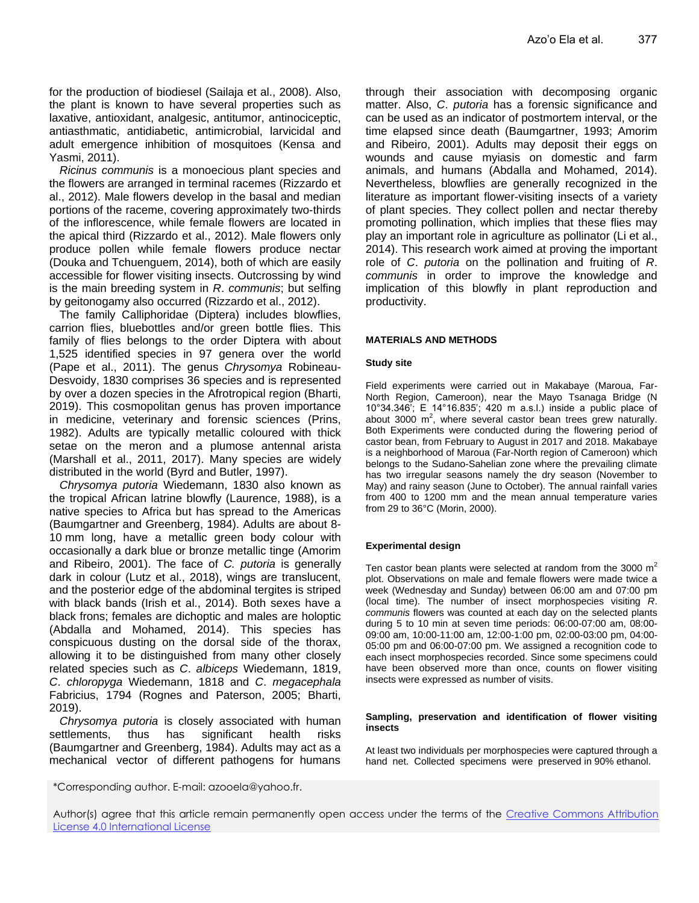for the production of biodiesel (Sailaja et al., 2008). Also, the plant is known to have several properties such as laxative, antioxidant, analgesic, antitumor, antinociceptic, antiasthmatic, antidiabetic, antimicrobial, larvicidal and adult emergence inhibition of mosquitoes (Kensa and Yasmi, 2011).

*Ricinus communis* is a monoecious plant species and the flowers are arranged in terminal racemes (Rizzardo et al., 2012). Male flowers develop in the basal and median portions of the raceme, covering approximately two-thirds of the inflorescence, while female flowers are located in the apical third (Rizzardo et al., 2012). Male flowers only produce pollen while female flowers produce nectar (Douka and Tchuenguem, 2014), both of which are easily accessible for flower visiting insects. Outcrossing by wind is the main breeding system in *R*. *communis*; but selfing by geitonogamy also occurred (Rizzardo et al., 2012).

The family Calliphoridae (Diptera) includes blowflies, carrion flies, bluebottles and/or green bottle flies. This family of flies belongs to the order Diptera with about 1,525 identified species in 97 genera over the world (Pape et al., 2011). The genus *Chrysomya* Robineau-Desvoidy, 1830 comprises 36 species and is represented by over a dozen species in the Afrotropical region (Bharti, 2019). This cosmopolitan genus has proven importance in medicine, veterinary and forensic sciences (Prins, 1982). Adults are typically metallic coloured with thick setae on the meron and a plumose antennal arista (Marshall et al., 2011, 2017). Many species are widely distributed in the world (Byrd and Butler, 1997).

*Chrysomya putoria* Wiedemann, 1830 also known as the tropical African latrine blowfly (Laurence, 1988), is a native species to Africa but has spread to the Americas (Baumgartner and Greenberg, 1984). Adults are about 8- 10 mm long, have a metallic green body colour with occasionally a dark blue or bronze metallic tinge (Amorim and Ribeiro, 2001). The face of *C. putoria* is generally dark in colour (Lutz et al., 2018), wings are translucent, and the posterior edge of the abdominal tergites is striped with black bands (Irish et al., 2014). Both sexes have a black frons; females are dichoptic and males are holoptic (Abdalla and Mohamed, 2014). This species has conspicuous dusting on the dorsal side of the thorax, allowing it to be distinguished from many other closely related species such as *C*. *albiceps* Wiedemann, 1819, *C*. *chloropyga* Wiedemann, 1818 and *C*. *megacephala* Fabricius, 1794 (Rognes and Paterson, 2005; Bharti, 2019).

*Chrysomya putoria* is closely associated with human settlements, thus has significant health risks (Baumgartner and Greenberg, 1984). Adults may act as a mechanical vector of different pathogens for humans

\*Corresponding author. E-mail: azooela@yahoo.fr.

through their association with decomposing organic matter. Also, *C*. *putoria* has a forensic significance and can be used as an indicator of postmortem interval, or the time elapsed since death (Baumgartner, 1993; Amorim and Ribeiro, 2001). Adults may deposit their eggs on wounds and cause myiasis on domestic and farm animals, and humans (Abdalla and Mohamed, 2014). Nevertheless, blowflies are generally recognized in the literature as important flower-visiting insects of a variety of plant species. They collect pollen and nectar thereby promoting pollination, which implies that these flies may play an important role in agriculture as pollinator (Li et al., 2014). This research work aimed at proving the important role of *C*. *putoria* on the pollination and fruiting of *R*. *communis* in order to improve the knowledge and implication of this blowfly in plant reproduction and productivity.

#### **MATERIALS AND METHODS**

#### **Study site**

Field experiments were carried out in Makabaye (Maroua, Far-North Region, Cameroon), near the Mayo Tsanaga Bridge (N 10°34.346'; E 14°16.835'; 420 m a.s.l.) inside a public place of about 3000  $m^2$ , where several castor bean trees grew naturally. Both Experiments were conducted during the flowering period of castor bean, from February to August in 2017 and 2018. Makabaye is a neighborhood of Maroua (Far-North region of Cameroon) which belongs to the Sudano-Sahelian zone where the prevailing climate has two irregular seasons namely the dry season (November to May) and rainy season (June to October). The annual rainfall varies from 400 to 1200 mm and the mean annual temperature varies from 29 to 36°C (Morin, 2000).

#### **Experimental design**

Ten castor bean plants were selected at random from the 3000  $m<sup>2</sup>$ plot. Observations on male and female flowers were made twice a week (Wednesday and Sunday) between 06:00 am and 07:00 pm (local time). The number of insect morphospecies visiting *R*. *communis* flowers was counted at each day on the selected plants during 5 to 10 min at seven time periods: 06:00-07:00 am, 08:00- 09:00 am, 10:00-11:00 am, 12:00-1:00 pm, 02:00-03:00 pm, 04:00- 05:00 pm and 06:00-07:00 pm. We assigned a recognition code to each insect morphospecies recorded. Since some specimens could have been observed more than once, counts on flower visiting insects were expressed as number of visits.

#### **Sampling, preservation and identification of flower visiting insects**

At least two individuals per morphospecies were captured through a hand net. Collected specimens were preserved in 90% ethanol.

Author(s) agree that this article remain permanently open access under the terms of the Creative Commons Attribution [License 4.0 International License](http://creativecommons.org/licenses/by/4.0/deed.en_US)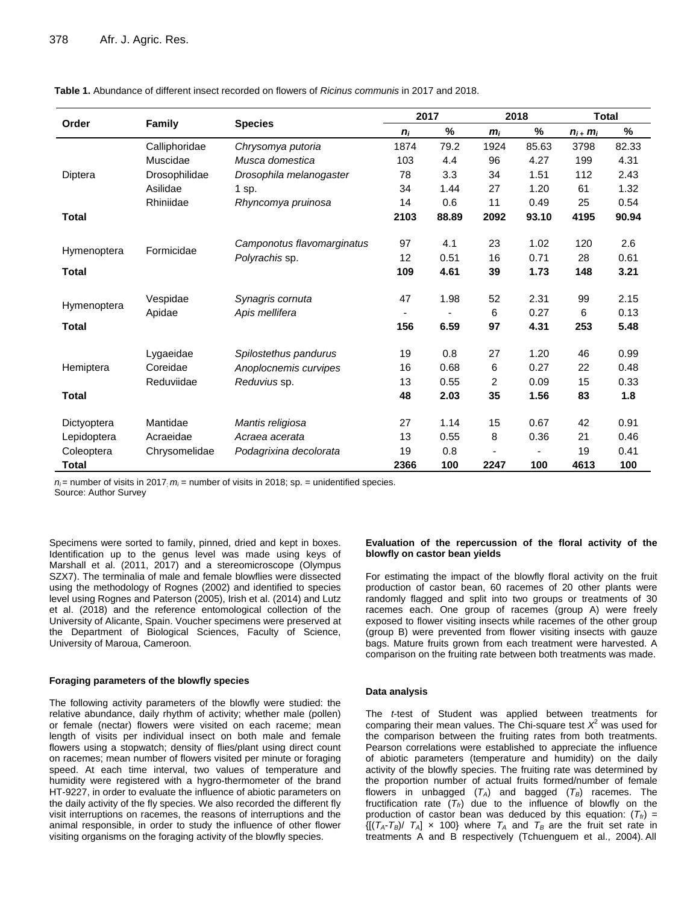|              | <b>Family</b> |                            | 2017  |       | 2018           |       | <b>Total</b>     |       |
|--------------|---------------|----------------------------|-------|-------|----------------|-------|------------------|-------|
| Order        |               | <b>Species</b>             | $n_i$ | %     | $m_i$          | %     | $n_{i+}$ $m_{i}$ | %     |
|              | Calliphoridae | Chrysomya putoria          | 1874  | 79.2  | 1924           | 85.63 | 3798             | 82.33 |
|              | Muscidae      | Musca domestica            | 103   | 4.4   | 96             | 4.27  | 199              | 4.31  |
| Diptera      | Drosophilidae | Drosophila melanogaster    | 78    | 3.3   | 34             | 1.51  | 112              | 2.43  |
|              | Asilidae      | 1 sp.                      | 34    | 1.44  | 27             | 1.20  | 61               | 1.32  |
|              | Rhiniidae     | Rhyncomya pruinosa         | 14    | 0.6   | 11             | 0.49  | 25               | 0.54  |
| <b>Total</b> |               |                            | 2103  | 88.89 | 2092           | 93.10 | 4195             | 90.94 |
|              | Formicidae    | Camponotus flavomarginatus | 97    | 4.1   | 23             | 1.02  | 120              | 2.6   |
| Hymenoptera  |               | Polyrachis sp.             | 12    | 0.51  | 16             | 0.71  | 28               | 0.61  |
| <b>Total</b> |               |                            | 109   | 4.61  | 39             | 1.73  | 148              | 3.21  |
|              | Vespidae      | Synagris cornuta           | 47    | 1.98  | 52             | 2.31  | 99               | 2.15  |
| Hymenoptera  | Apidae        | Apis mellifera             |       |       | 6              | 0.27  | 6                | 0.13  |
| <b>Total</b> |               |                            | 156   | 6.59  | 97             | 4.31  | 253              | 5.48  |
|              | Lygaeidae     | Spilostethus pandurus      | 19    | 0.8   | 27             | 1.20  | 46               | 0.99  |
| Hemiptera    | Coreidae      | Anoplocnemis curvipes      | 16    | 0.68  | 6              | 0.27  | 22               | 0.48  |
|              | Reduviidae    | Reduvius sp.               | 13    | 0.55  | $\overline{2}$ | 0.09  | 15               | 0.33  |
| <b>Total</b> |               |                            | 48    | 2.03  | 35             | 1.56  | 83               | 1.8   |
| Dictyoptera  | Mantidae      | Mantis religiosa           | 27    | 1.14  | 15             | 0.67  | 42               | 0.91  |
| Lepidoptera  | Acraeidae     | Acraea acerata             | 13    | 0.55  | 8              | 0.36  | 21               | 0.46  |
| Coleoptera   | Chrysomelidae | Podagrixina decolorata     | 19    | 0.8   | $\overline{a}$ |       | 19               | 0.41  |
| <b>Total</b> |               |                            | 2366  | 100   | 2247           | 100   | 4613             | 100   |

**Table 1.** Abundance of different insect recorded on flowers of *Ricinus communis* in 2017 and 2018.

 $n_i$  = number of visits in 2017;  $m_i$  = number of visits in 2018; sp. = unidentified species. Source: Author Survey

Specimens were sorted to family, pinned, dried and kept in boxes. Identification up to the genus level was made using keys of Marshall et al. (2011, 2017) and a stereomicroscope (Olympus SZX7). The terminalia of male and female blowflies were dissected using the methodology of Rognes (2002) and identified to species level using Rognes and Paterson (2005), Irish et al. (2014) and Lutz et al. (2018) and the reference entomological collection of the University of Alicante, Spain. Voucher specimens were preserved at the Department of Biological Sciences, Faculty of Science, University of Maroua, Cameroon.

#### **Foraging parameters of the blowfly species**

The following activity parameters of the blowfly were studied: the relative abundance, daily rhythm of activity; whether male (pollen) or female (nectar) flowers were visited on each raceme; mean length of visits per individual insect on both male and female flowers using a stopwatch; density of flies/plant using direct count on racemes; mean number of flowers visited per minute or foraging speed. At each time interval, two values of temperature and humidity were registered with a hygro-thermometer of the brand HT-9227, in order to evaluate the influence of abiotic parameters on the daily activity of the fly species. We also recorded the different fly visit interruptions on racemes, the reasons of interruptions and the animal responsible, in order to study the influence of other flower visiting organisms on the foraging activity of the blowfly species.

#### **Evaluation of the repercussion of the floral activity of the blowfly on castor bean yields**

For estimating the impact of the blowfly floral activity on the fruit production of castor bean, 60 racemes of 20 other plants were randomly flagged and split into two groups or treatments of 30 racemes each. One group of racemes (group A) were freely exposed to flower visiting insects while racemes of the other group (group B) were prevented from flower visiting insects with gauze bags. Mature fruits grown from each treatment were harvested. A comparison on the fruiting rate between both treatments was made.

#### **Data analysis**

The *t*-test of Student was applied between treatments for comparing their mean values. The Chi-square test *X* <sup>2</sup> was used for the comparison between the fruiting rates from both treatments. Pearson correlations were established to appreciate the influence of abiotic parameters (temperature and humidity) on the daily activity of the blowfly species. The fruiting rate was determined by the proportion number of actual fruits formed/number of female flowers in unbagged  $(T_A)$  and bagged  $(T_B)$  racemes. The fructification rate (*Tfr*) due to the influence of blowfly on the production of castor bean was deduced by this equation:  $(T_f)$  =  $\{[(T_A - T_B)/T_A] \times 100\}$  where  $T_A$  and  $T_B$  are the fruit set rate in treatments A and B respectively (Tchuenguem et al., 2004). All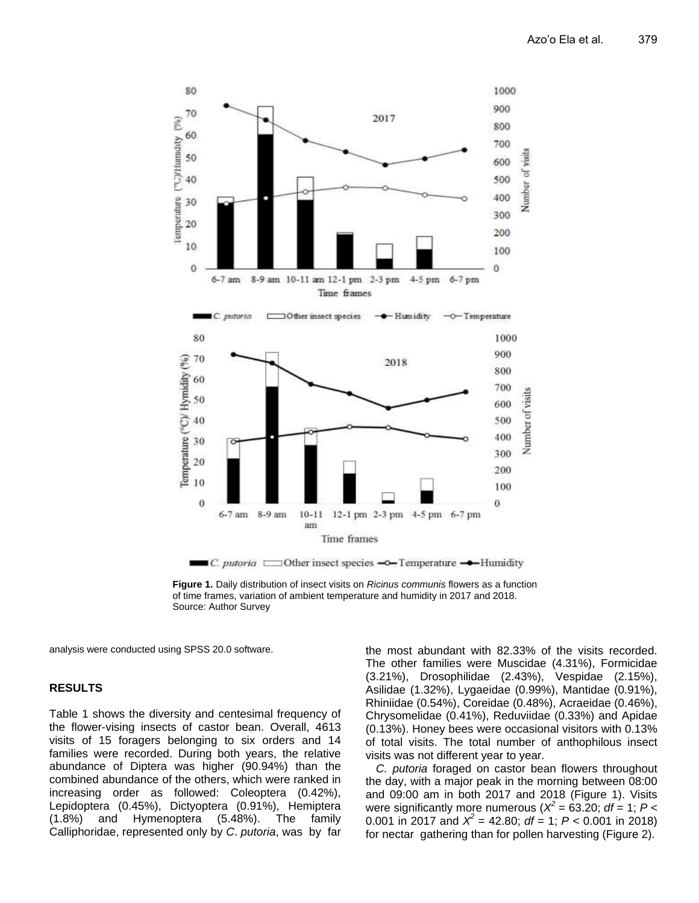

**Figure 1.** Daily distribution of insect visits on *Ricinus communis* flowers as a function of time frames, variation of ambient temperature and humidity in 2017 and 2018. Source: Author Survey

analysis were conducted using SPSS 20.0 software.

## **RESULTS**

Table 1 shows the diversity and centesimal frequency of the flower-vising insects of castor bean. Overall, 4613 visits of 15 foragers belonging to six orders and 14 families were recorded. During both years, the relative abundance of Diptera was higher (90.94%) than the combined abundance of the others, which were ranked in increasing order as followed: Coleoptera (0.42%), Lepidoptera (0.45%), Dictyoptera (0.91%), Hemiptera (1.8%) and Hymenoptera (5.48%). The family Calliphoridae, represented only by *C*. *putoria*, was by far the most abundant with 82.33% of the visits recorded. The other families were Muscidae (4.31%), Formicidae (3.21%), Drosophilidae (2.43%), Vespidae (2.15%), Asilidae (1.32%), Lygaeidae (0.99%), Mantidae (0.91%), Rhiniidae (0.54%), Coreidae (0.48%), Acraeidae (0.46%), Chrysomelidae (0.41%), Reduviidae (0.33%) and Apidae (0.13%). Honey bees were occasional visitors with 0.13% of total visits. The total number of anthophilous insect visits was not different year to year.

*C. putoria* foraged on castor bean flowers throughout the day, with a major peak in the morning between 08:00 and 09:00 am in both 2017 and 2018 (Figure 1). Visits were significantly more numerous ( $X^2 = 63.20$ ; *df* = 1; *P* < 0.001 in 2017 and  $X^2 = 42.80$ ;  $df = 1$ ;  $P < 0.001$  in 2018) for nectar gathering than for pollen harvesting (Figure 2).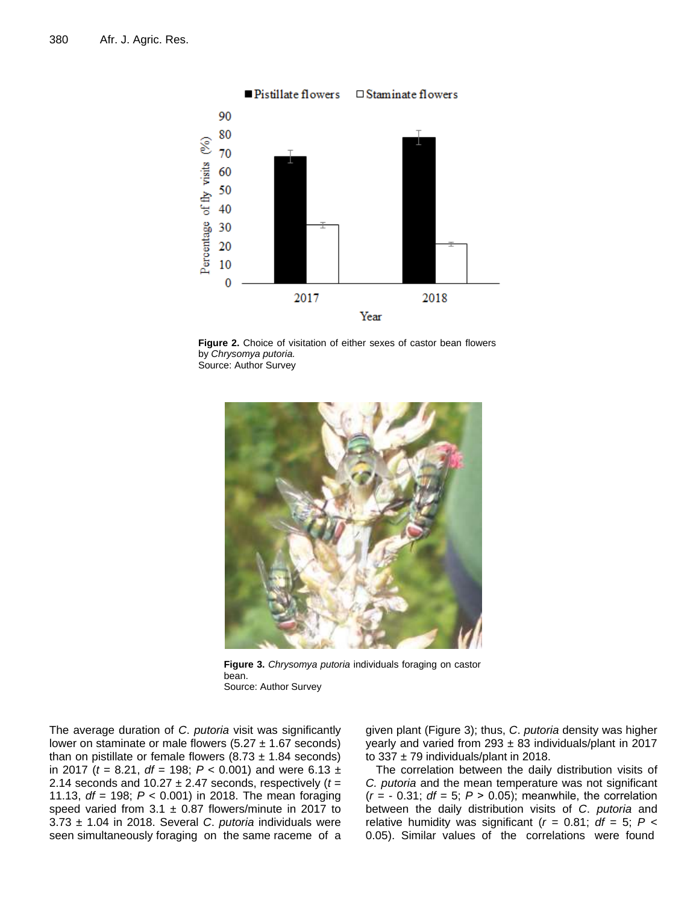

**Figure 2.** Choice of visitation of either sexes of castor bean flowers by *Chrysomya putoria.* Source: Author Survey



**Figure 3.** *Chrysomya putoria* individuals foraging on castor bean. Source: Author Survey

The average duration of *C*. *putoria* visit was significantly lower on staminate or male flowers  $(5.27 \pm 1.67$  seconds) than on pistillate or female flowers  $(8.73 \pm 1.84$  seconds) in 2017 (*t* = 8.21, *df* = 198; *P* < 0.001) and were 6.13 ± 2.14 seconds and  $10.27 \pm 2.47$  seconds, respectively  $(t =$ 11.13, *df* = 198; *P* < 0.001) in 2018. The mean foraging speed varied from  $3.1 \pm 0.87$  flowers/minute in 2017 to 3.73 ± 1.04 in 2018. Several *C*. *putoria* individuals were seen simultaneously foraging on the same raceme of a

given plant (Figure 3); thus, *C*. *putoria* density was higher yearly and varied from  $293 \pm 83$  individuals/plant in 2017 to  $337 \pm 79$  individuals/plant in 2018.

The correlation between the daily distribution visits of *C. putoria* and the mean temperature was not significant  $(r = -0.31; df = 5; P > 0.05)$ ; meanwhile, the correlation between the daily distribution visits of *C*. *putoria* and relative humidity was significant ( $r = 0.81$ ;  $df = 5$ ;  $P <$ 0.05). Similar values of the correlations were found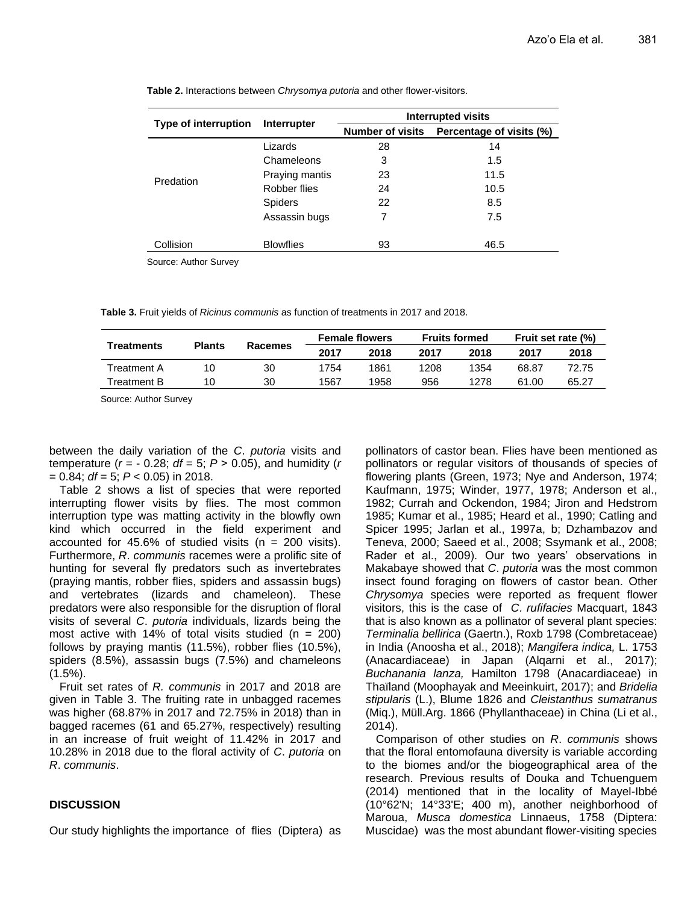|                      | Interrupter      | Interrupted visits      |                          |  |  |  |
|----------------------|------------------|-------------------------|--------------------------|--|--|--|
| Type of interruption |                  | <b>Number of visits</b> | Percentage of visits (%) |  |  |  |
|                      | Lizards          | 28                      | 14                       |  |  |  |
|                      | Chameleons       | 3                       | 1.5                      |  |  |  |
| Predation            | Praying mantis   | 23                      | 11.5                     |  |  |  |
|                      | Robber flies     | 24                      | 10.5                     |  |  |  |
|                      | <b>Spiders</b>   | 22                      | 8.5                      |  |  |  |
|                      | Assassin bugs    | 7                       | 7.5                      |  |  |  |
| Collision            | <b>Blowflies</b> | 93                      | 46.5                     |  |  |  |

**Table 2.** Interactions between *Chrysomya putoria* and other flower-visitors.

Source: Author Survey

**Table 3.** Fruit yields of *Ricinus communis* as function of treatments in 2017 and 2018.

| <b>Treatments</b> | <b>Plants</b> | Racemes | <b>Female flowers</b> |      | <b>Fruits formed</b> |      | Fruit set rate (%) |       |
|-------------------|---------------|---------|-----------------------|------|----------------------|------|--------------------|-------|
|                   |               |         | 2017                  | 2018 | 2017                 | 2018 | 2017               | 2018  |
| Treatment A       | 10            | 30      | 1754                  | 1861 | 1208                 | 1354 | 68.87              | 72.75 |
| Treatment B       | 10            | 30      | 1567                  | 1958 | 956                  | 1278 | 61.00              | 65.27 |

Source: Author Survey

between the daily variation of the *C*. *putoria* visits and temperature  $(r = -0.28; df = 5; P > 0.05)$ , and humidity  $(r = 0.28; df = 5; P > 0.05)$ = 0.84; *df* = 5; *P* < 0.05) in 2018.

Table 2 shows a list of species that were reported interrupting flower visits by flies. The most common interruption type was matting activity in the blowfly own kind which occurred in the field experiment and accounted for 45.6% of studied visits ( $n = 200$  visits). Furthermore, *R*. *communis* racemes were a prolific site of hunting for several fly predators such as invertebrates (praying mantis, robber flies, spiders and assassin bugs) and vertebrates (lizards and chameleon). These predators were also responsible for the disruption of floral visits of several *C*. *putoria* individuals, lizards being the most active with 14% of total visits studied  $(n = 200)$ follows by praying mantis (11.5%), robber flies (10.5%), spiders (8.5%), assassin bugs (7.5%) and chameleons  $(1.5\%)$ .

Fruit set rates of *R. communis* in 2017 and 2018 are given in Table 3. The fruiting rate in unbagged racemes was higher (68.87% in 2017 and 72.75% in 2018) than in bagged racemes (61 and 65.27%, respectively) resulting in an increase of fruit weight of 11.42% in 2017 and 10.28% in 2018 due to the floral activity of *C*. *putoria* on *R*. *communis*.

## **DISCUSSION**

Our study highlights the importance of flies (Diptera) as

pollinators of castor bean. Flies have been mentioned as pollinators or regular visitors of thousands of species of flowering plants (Green, 1973; Nye and Anderson, 1974; Kaufmann, 1975; Winder, 1977, 1978; Anderson et al., 1982; Currah and Ockendon, 1984; Jiron and Hedstrom 1985; Kumar et al., 1985; Heard et al., 1990; Catling and Spicer 1995; Jarlan et al., 1997a, b; Dzhambazov and Teneva, 2000; Saeed et al., 2008; Ssymank et al., 2008; Rader et al., 2009). Our two years' observations in Makabaye showed that *C*. *putoria* was the most common insect found foraging on flowers of castor bean. Other *Chrysomya* species were reported as frequent flower visitors, this is the case of *C*. *rufifacies* Macquart, 1843 that is also known as a pollinator of several plant species: *Terminalia bellirica* (Gaertn.), Roxb 1798 (Combretaceae) in India (Anoosha et al., 2018); *Mangifera indica,* L. 1753 (Anacardiaceae) in Japan (Alqarni et al., 2017); *Buchanania lanza,* Hamilton 1798 (Anacardiaceae) in Thaïland (Moophayak and Meeinkuirt, 2017); and *Bridelia stipularis* (L.), Blume 1826 and *Cleistanthus sumatranus* (Miq.), Müll.Arg. 1866 (Phyllanthaceae) in China (Li et al., 2014).

Comparison of other studies on *R*. *communis* shows that the floral entomofauna diversity is variable according to the biomes and/or the biogeographical area of the research. Previous results of Douka and Tchuenguem (2014) mentioned that in the locality of Mayel-Ibbé (10°62'N; 14°33'E; 400 m), another neighborhood of Maroua, *Musca domestica* Linnaeus, 1758 (Diptera: Muscidae) was the most abundant flower-visiting species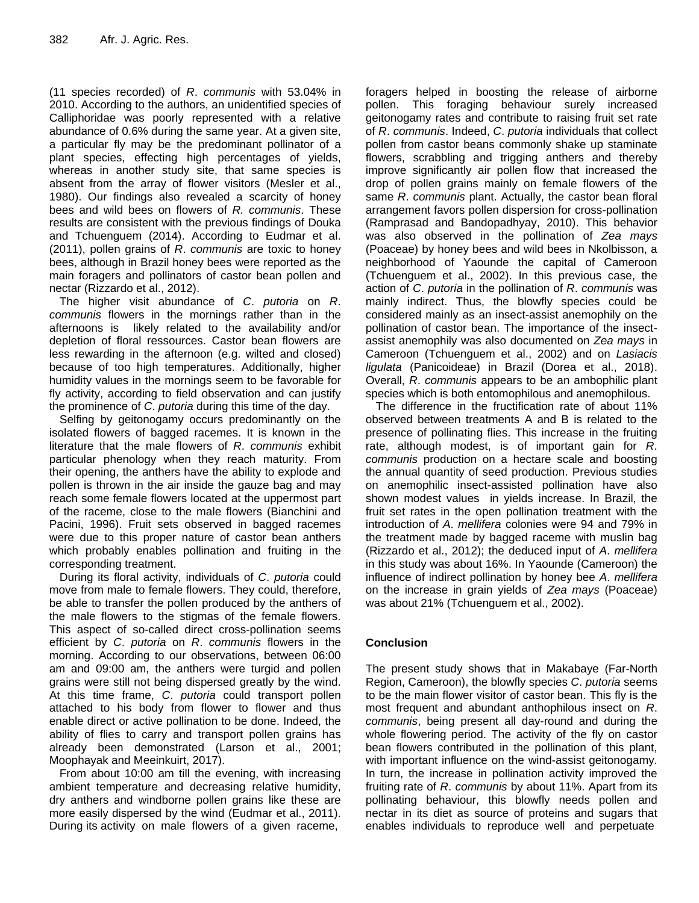(11 species recorded) of *R*. *communis* with 53.04% in 2010. According to the authors, an unidentified species of Calliphoridae was poorly represented with a relative abundance of 0.6% during the same year. At a given site, a particular fly may be the predominant pollinator of a plant species, effecting high percentages of yields, whereas in another study site, that same species is absent from the array of flower visitors (Mesler et al., 1980). Our findings also revealed a scarcity of honey bees and wild bees on flowers of *R. communis*. These results are consistent with the previous findings of Douka and Tchuenguem (2014). According to Eudmar et al. (2011), pollen grains of *R*. *communis* are toxic to honey bees, although in Brazil honey bees were reported as the main foragers and pollinators of castor bean pollen and nectar (Rizzardo et al., 2012).

The higher visit abundance of *C*. *putoria* on *R*. *communis* flowers in the mornings rather than in the afternoons is likely related to the availability and/or depletion of floral ressources. Castor bean flowers are less rewarding in the afternoon (e.g. wilted and closed) because of too high temperatures. Additionally, higher humidity values in the mornings seem to be favorable for fly activity, according to field observation and can justify the prominence of *C*. *putoria* during this time of the day.

Selfing by geitonogamy occurs predominantly on the isolated flowers of bagged racemes. It is known in the literature that the male flowers of *R*. *communis* exhibit particular phenology when they reach maturity. From their opening, the anthers have the ability to explode and pollen is thrown in the air inside the gauze bag and may reach some female flowers located at the uppermost part of the raceme, close to the male flowers (Bianchini and Pacini, 1996). Fruit sets observed in bagged racemes were due to this proper nature of castor bean anthers which probably enables pollination and fruiting in the corresponding treatment.

During its floral activity, individuals of *C*. *putoria* could move from male to female flowers. They could, therefore, be able to transfer the pollen produced by the anthers of the male flowers to the stigmas of the female flowers. This aspect of so-called direct cross-pollination seems efficient by *C*. *putoria* on *R*. *communis* flowers in the morning. According to our observations, between 06:00 am and 09:00 am, the anthers were turgid and pollen grains were still not being dispersed greatly by the wind. At this time frame, *C*. *putoria* could transport pollen attached to his body from flower to flower and thus enable direct or active pollination to be done. Indeed, the ability of flies to carry and transport pollen grains has already been demonstrated (Larson et al., 2001; Moophayak and Meeinkuirt, 2017).

From about 10:00 am till the evening, with increasing ambient temperature and decreasing relative humidity, dry anthers and windborne pollen grains like these are more easily dispersed by the wind (Eudmar et al., 2011). During its activity on male flowers of a given raceme,

foragers helped in boosting the release of airborne pollen. This foraging behaviour surely increased geitonogamy rates and contribute to raising fruit set rate of *R*. *communis*. Indeed, *C*. *putoria* individuals that collect pollen from castor beans commonly shake up staminate flowers, scrabbling and trigging anthers and thereby improve significantly air pollen flow that increased the drop of pollen grains mainly on female flowers of the same *R*. *communis* plant. Actually, the castor bean floral arrangement favors pollen dispersion for cross-pollination (Ramprasad and Bandopadhyay, 2010). This behavior was also observed in the pollination of *Zea mays* (Poaceae) by honey bees and wild bees in Nkolbisson, a neighborhood of Yaounde the capital of Cameroon (Tchuenguem et al., 2002). In this previous case, the action of *C*. *putoria* in the pollination of *R*. *communis* was mainly indirect. Thus, the blowfly species could be considered mainly as an insect-assist anemophily on the pollination of castor bean. The importance of the insectassist anemophily was also documented on *Zea mays* in Cameroon (Tchuenguem et al., 2002) and on *Lasiacis ligulata* (Panicoideae) in Brazil (Dorea et al., 2018). Overall, *R*. *communis* appears to be an ambophilic plant species which is both entomophilous and anemophilous.

The difference in the fructification rate of about 11% observed between treatments A and B is related to the presence of pollinating flies. This increase in the fruiting rate, although modest, is of important gain for *R*. *communis* production on a hectare scale and boosting the annual quantity of seed production. Previous studies on anemophilic insect-assisted pollination have also shown modest values in yields increase. In Brazil, the fruit set rates in the open pollination treatment with the introduction of *A*. *mellifera* colonies were 94 and 79% in the treatment made by bagged raceme with muslin bag (Rizzardo et al., 2012); the deduced input of *A*. *mellifera* in this study was about 16%. In Yaounde (Cameroon) the influence of indirect pollination by honey bee *A*. *mellifera* on the increase in grain yields of *Zea mays* (Poaceae) was about 21% (Tchuenguem et al., 2002).

## **Conclusion**

The present study shows that in Makabaye (Far-North Region, Cameroon), the blowfly species *C*. *putoria* seems to be the main flower visitor of castor bean. This fly is the most frequent and abundant anthophilous insect on *R*. *communis*, being present all day-round and during the whole flowering period. The activity of the fly on castor bean flowers contributed in the pollination of this plant, with important influence on the wind-assist geitonogamy. In turn, the increase in pollination activity improved the fruiting rate of *R*. *communis* by about 11%. Apart from its pollinating behaviour, this blowfly needs pollen and nectar in its diet as source of proteins and sugars that enables individuals to reproduce well and perpetuate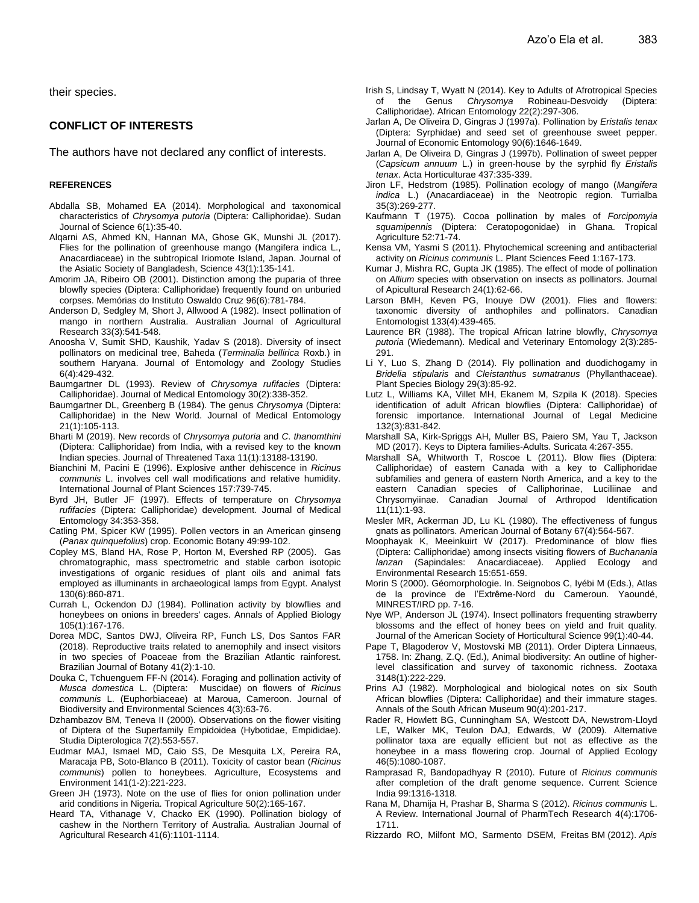their species.

## **CONFLICT OF INTERESTS**

The authors have not declared any conflict of interests.

#### **REFERENCES**

- Abdalla SB, Mohamed EA (2014). Morphological and taxonomical characteristics of *Chrysomya putoria* (Diptera: Calliphoridae). Sudan Journal of Science 6(1):35-40.
- Alqarni AS, Ahmed KN, Hannan MA, Ghose GK, Munshi JL (2017). Flies for the pollination of greenhouse mango (Mangifera indica L., Anacardiaceae) in the subtropical Iriomote Island, Japan. Journal of the Asiatic Society of Bangladesh, Science 43(1):135-141.
- Amorim JA, Ribeiro OB (2001). Distinction among the puparia of three blowfly species (Diptera: Calliphoridae) frequently found on unburied corpses. Memórias do Instituto Oswaldo Cruz 96(6):781-784.
- Anderson D, Sedgley M, Short J, Allwood A (1982). Insect pollination of mango in northern Australia. Australian Journal of Agricultural Research 33(3):541-548.
- Anoosha V, Sumit SHD, Kaushik, Yadav S (2018). Diversity of insect pollinators on medicinal tree, Baheda (*Terminalia bellirica* Roxb.) in southern Haryana. Journal of Entomology and Zoology Studies 6(4):429-432.
- Baumgartner DL (1993). Review of *Chrysomya rufifacies* (Diptera: Calliphoridae). Journal of Medical Entomology 30(2):338-352.
- Baumgartner DL, Greenberg B (1984). The genus *Chrysomya* (Diptera: Calliphoridae) in the New World. Journal of Medical Entomology 21(1):105-113.
- Bharti M (2019). New records of *Chrysomya putoria* and *C*. *thanomthini* (Diptera: Calliphoridae) from India, with a revised key to the known Indian species. Journal of Threatened Taxa 11(1):13188-13190.
- Bianchini M, Pacini E (1996). Explosive anther dehiscence in *Ricinus communis* L. involves cell wall modifications and relative humidity. International Journal of Plant Sciences 157:739-745.
- Byrd JH, Butler JF (1997). Effects of temperature on *Chrysomya rufifacies* (Diptera: Calliphoridae) development. Journal of Medical Entomology 34:353-358.
- Catling PM, Spicer KW (1995). Pollen vectors in an American ginseng (*Panax quinquefolius*) crop. Economic Botany 49:99-102.
- Copley MS, Bland HA, Rose P, Horton M, Evershed RP (2005). Gas chromatographic, mass spectrometric and stable carbon isotopic investigations of organic residues of plant oils and animal fats employed as illuminants in archaeological lamps from Egypt. Analyst 130(6):860-871.
- Currah L, Ockendon DJ (1984). Pollination activity by blowflies and honeybees on onions in breeders' cages. Annals of Applied Biology 105(1):167-176.
- Dorea MDC, Santos DWJ, Oliveira RP, Funch LS, Dos Santos FAR (2018). Reproductive traits related to anemophily and insect visitors in two species of Poaceae from the Brazilian Atlantic rainforest. Brazilian Journal of Botany 41(2):1-10.
- Douka C, Tchuenguem FF-N (2014). Foraging and pollination activity of *Musca domestica* L. (Diptera: Muscidae) on flowers of *Ricinus communis* L. (Euphorbiaceae) at Maroua, Cameroon. Journal of Biodiversity and Environmental Sciences 4(3):63-76.
- Dzhambazov BM, Teneva II (2000). Observations on the flower visiting of Diptera of the Superfamily Empidoidea (Hybotidae, Empididae). Studia Dipterologica 7(2):553-557.
- Eudmar MAJ, Ismael MD, Caio SS, De Mesquita LX, Pereira RA, Maracaja PB, Soto-Blanco B (2011). Toxicity of castor bean (*Ricinus communis*) pollen to honeybees. Agriculture, Ecosystems and Environment 141(1-2):221-223.
- Green JH (1973). Note on the use of flies for onion pollination under arid conditions in Nigeria. Tropical Agriculture 50(2):165-167.
- Heard TA, Vithanage V, Chacko EK (1990). Pollination biology of cashew in the Northern Territory of Australia. Australian Journal of Agricultural Research 41(6):1101-1114.
- Irish S, Lindsay T, Wyatt N (2014). Key to Adults of Afrotropical Species of the Genus *Chrysomya* Robineau-Desvoidy (Diptera: Calliphoridae). African Entomology 22(2):297-306.
- Jarlan A, De Oliveira D, Gingras J (1997a). Pollination by *Eristalis tenax* (Diptera: Syrphidae) and seed set of greenhouse sweet pepper. Journal of Economic Entomology 90(6):1646-1649.
- Jarlan A, De Oliveira D, Gingras J (1997b). Pollination of sweet pepper (*Capsicum annuum* L.) in green-house by the syrphid fly *Eristalis tenax*. Acta Horticulturae 437:335-339.
- Jiron LF, Hedstrom (1985). Pollination ecology of mango (*Mangifera indica* L.) (Anacardiaceae) in the Neotropic region. Turrialba 35(3):269-277.
- Kaufmann T (1975). Cocoa pollination by males of *Forcipomyia squamipennis* (Diptera: Ceratopogonidae) in Ghana. Tropical Agriculture 52:71-74.
- Kensa VM, Yasmi S (2011). Phytochemical screening and antibacterial activity on *Ricinus communis* L. Plant Sciences Feed 1:167-173.
- Kumar J, Mishra RC, Gupta JK (1985). The effect of mode of pollination on *Allium* species with observation on insects as pollinators. Journal of Apicultural Research 24(1):62-66.
- Larson BMH, Keven PG, Inouye DW (2001). Flies and flowers: taxonomic diversity of anthophiles and pollinators. Canadian Entomologist 133(4):439-465.
- Laurence BR (1988). The tropical African latrine blowfly, *Chrysomya putoria* (Wiedemann). Medical and Veterinary Entomology 2(3):285- 291.
- Li Y, Luo S, Zhang D (2014). Fly pollination and duodichogamy in *Bridelia stipularis* and *Cleistanthus sumatranus* (Phyllanthaceae). Plant Species Biology 29(3):85-92.
- Lutz L, Williams KA, Villet MH, Ekanem M, Szpila K (2018). Species identification of adult African blowflies (Diptera: Calliphoridae) of forensic importance. International Journal of Legal Medicine 132(3):831-842.
- Marshall SA, Kirk-Spriggs AH, Muller BS, Paiero SM, Yau T, Jackson MD (2017). Keys to Diptera families-Adults. Suricata 4:267-355.
- Marshall SA, Whitworth T, Roscoe L (2011). Blow flies (Diptera: Calliphoridae) of eastern Canada with a key to Calliphoridae subfamilies and genera of eastern North America, and a key to the eastern Canadian species of Calliphorinae, Luciliinae and Chrysomyiinae. Canadian Journal of Arthropod Identification 11(11):1-93.
- Mesler MR, Ackerman JD, Lu KL (1980). The effectiveness of fungus gnats as pollinators. American Journal of Botany 67(4):564-567.
- Moophayak K, Meeinkuirt W (2017). Predominance of blow flies (Diptera: Calliphoridae) among insects visiting flowers of *Buchanania lanzan* (Sapindales: Anacardiaceae). Applied Ecology and Environmental Research 15:651-659.
- Morin S (2000). Géomorphologie. In. Seignobos C, Iyébi M (Eds.), Atlas de la province de l'Extrême-Nord du Cameroun. Yaoundé, MINREST/IRD pp. 7-16.
- Nye WP, Anderson JL (1974). Insect pollinators frequenting strawberry blossoms and the effect of honey bees on yield and fruit quality. Journal of the American Society of Horticultural Science 99(1):40-44.
- Pape T, Blagoderov V, Mostovski MB (2011). Order Diptera Linnaeus, 1758. In: Zhang, Z.Q. (Ed.), Animal biodiversity: An outline of higherlevel classification and survey of taxonomic richness. Zootaxa 3148(1):222-229.
- Prins AJ (1982). Morphological and biological notes on six South African blowflies (Diptera: Calliphoridae) and their immature stages. Annals of the South African Museum 90(4):201-217.
- Rader R, Howlett BG, Cunningham SA, Westcott DA, Newstrom-Lloyd LE, Walker MK, Teulon DAJ, Edwards, W (2009). Alternative pollinator taxa are equally efficient but not as effective as the honeybee in a mass flowering crop. Journal of Applied Ecology 46(5):1080-1087.
- Ramprasad R, Bandopadhyay R (2010). Future of *Ricinus communis* after completion of the draft genome sequence. Current Science India 99:1316-1318.
- Rana M, Dhamija H, Prashar B, Sharma S (2012). *Ricinus communis* L. A Review. International Journal of PharmTech Research 4(4):1706- 1711.
- Rizzardo RO, Milfont MO, Sarmento DSEM, Freitas BM (2012). *Apis*